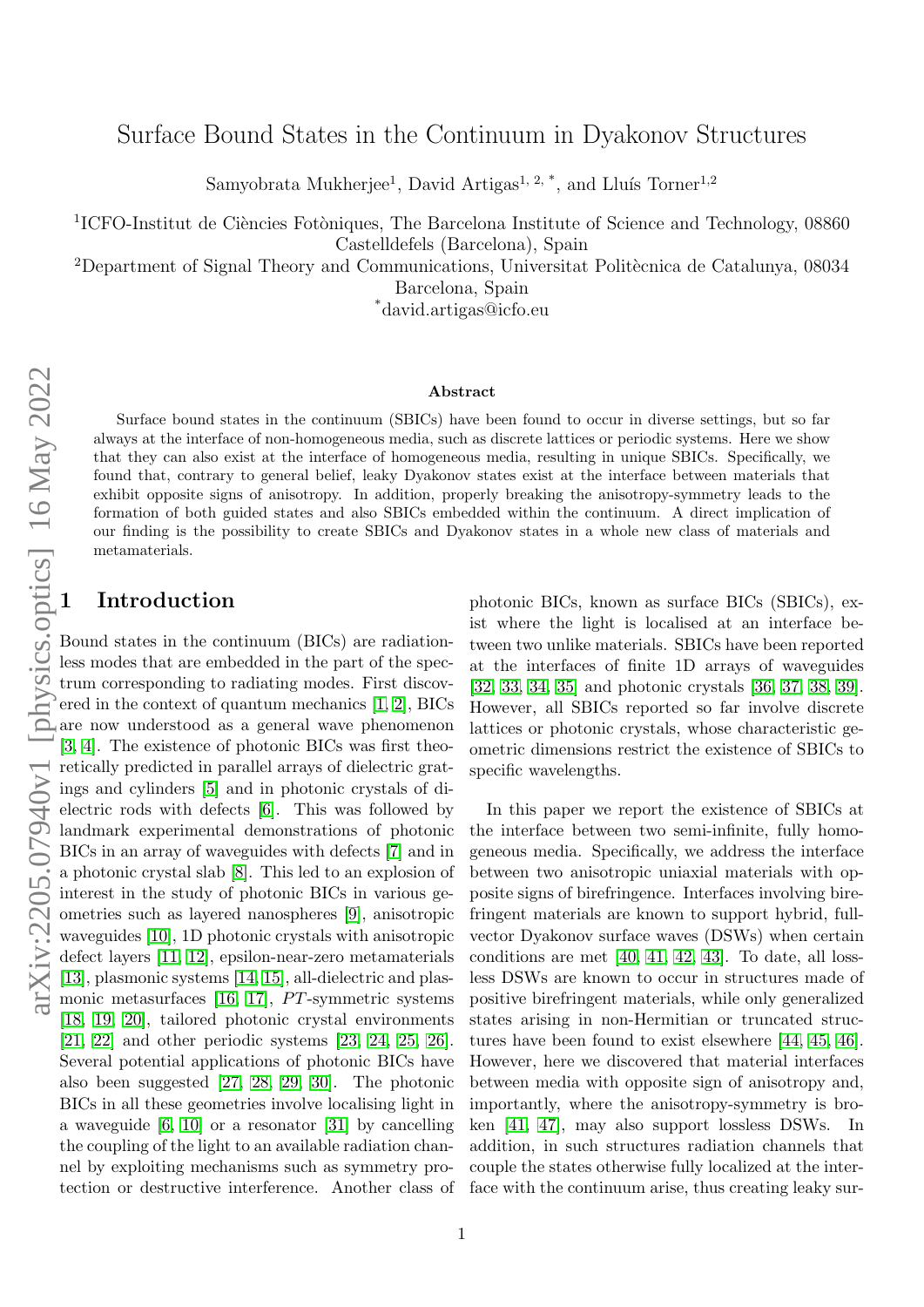# Surface Bound States in the Continuum in Dyakonov Structures

Samyobrata Mukherjee<sup>1</sup>, David Artigas<sup>1, 2, \*</sup>, and Lluís Torner<sup>1,2</sup>

<sup>1</sup>ICFO-Institut de Ciències Fotòniques, The Barcelona Institute of Science and Technology, 08860 Castelldefels (Barcelona), Spain

<sup>2</sup>Department of Signal Theory and Communications, Universitat Politècnica de Catalunya, 08034 Barcelona, Spain

\*david.artigas@icfo.eu

#### Abstract

Surface bound states in the continuum (SBICs) have been found to occur in diverse settings, but so far always at the interface of non-homogeneous media, such as discrete lattices or periodic systems. Here we show that they can also exist at the interface of homogeneous media, resulting in unique SBICs. Specifically, we found that, contrary to general belief, leaky Dyakonov states exist at the interface between materials that exhibit opposite signs of anisotropy. In addition, properly breaking the anisotropy-symmetry leads to the formation of both guided states and also SBICs embedded within the continuum. A direct implication of our finding is the possibility to create SBICs and Dyakonov states in a whole new class of materials and metamaterials.

## **Introduction**

Bound states in the continuum (BICs) are radiationless modes that are embedded in the part of the spectrum corresponding to radiating modes. First discovered in the context of quantum mechanics [\[1,](#page-6-0) [2\]](#page-6-1), BICs are now understood as a general wave phenomenon [\[3,](#page-6-2) [4\]](#page-6-3). The existence of photonic BICs was first theoretically predicted in parallel arrays of dielectric gratings and cylinders [\[5\]](#page-6-4) and in photonic crystals of dielectric rods with defects [\[6\]](#page-6-5). This was followed by landmark experimental demonstrations of photonic BICs in an array of waveguides with defects [\[7\]](#page-6-6) and in a photonic crystal slab [\[8\]](#page-6-7). This led to an explosion of interest in the study of photonic BICs in various geometries such as layered nanospheres [\[9\]](#page-6-8), anisotropic waveguides [\[10\]](#page-6-9), 1D photonic crystals with anisotropic defect layers [\[11,](#page-6-10) [12\]](#page-6-11), epsilon-near-zero metamaterials [\[13\]](#page-6-12), plasmonic systems [\[14,](#page-6-13) [15\]](#page-7-0), all-dielectric and plasmonic metasurfaces  $[16, 17]$  $[16, 17]$ , PT-symmetric systems [\[18,](#page-7-3) [19,](#page-7-4) [20\]](#page-7-5), tailored photonic crystal environments [\[21,](#page-7-6) [22\]](#page-7-7) and other periodic systems [\[23,](#page-7-8) [24,](#page-7-9) [25,](#page-7-10) [26\]](#page-7-11). Several potential applications of photonic BICs have also been suggested [\[27,](#page-7-12) [28,](#page-7-13) [29,](#page-7-14) [30\]](#page-7-15). The photonic BICs in all these geometries involve localising light in a waveguide [\[6,](#page-6-5) [10\]](#page-6-9) or a resonator [\[31\]](#page-7-16) by cancelling the coupling of the light to an available radiation channel by exploiting mechanisms such as symmetry protection or destructive interference. Another class of photonic BICs, known as surface BICs (SBICs), exist where the light is localised at an interface between two unlike materials. SBICs have been reported at the interfaces of finite 1D arrays of waveguides [\[32,](#page-7-17) [33,](#page-7-18) [34,](#page-7-19) [35\]](#page-7-20) and photonic crystals [\[36,](#page-8-0) [37,](#page-8-1) [38,](#page-8-2) [39\]](#page-8-3). However, all SBICs reported so far involve discrete lattices or photonic crystals, whose characteristic geometric dimensions restrict the existence of SBICs to specific wavelengths.

In this paper we report the existence of SBICs at the interface between two semi-infinite, fully homogeneous media. Specifically, we address the interface between two anisotropic uniaxial materials with opposite signs of birefringence. Interfaces involving birefringent materials are known to support hybrid, fullvector Dyakonov surface waves (DSWs) when certain conditions are met [\[40,](#page-8-4) [41,](#page-8-5) [42,](#page-8-6) [43\]](#page-8-7). To date, all lossless DSWs are known to occur in structures made of positive birefringent materials, while only generalized states arising in non-Hermitian or truncated structures have been found to exist elsewhere [\[44,](#page-8-8) [45,](#page-8-9) [46\]](#page-8-10). However, here we discovered that material interfaces between media with opposite sign of anisotropy and, importantly, where the anisotropy-symmetry is broken [\[41,](#page-8-5) [47\]](#page-8-11), may also support lossless DSWs. In addition, in such structures radiation channels that couple the states otherwise fully localized at the interface with the continuum arise, thus creating leaky sur-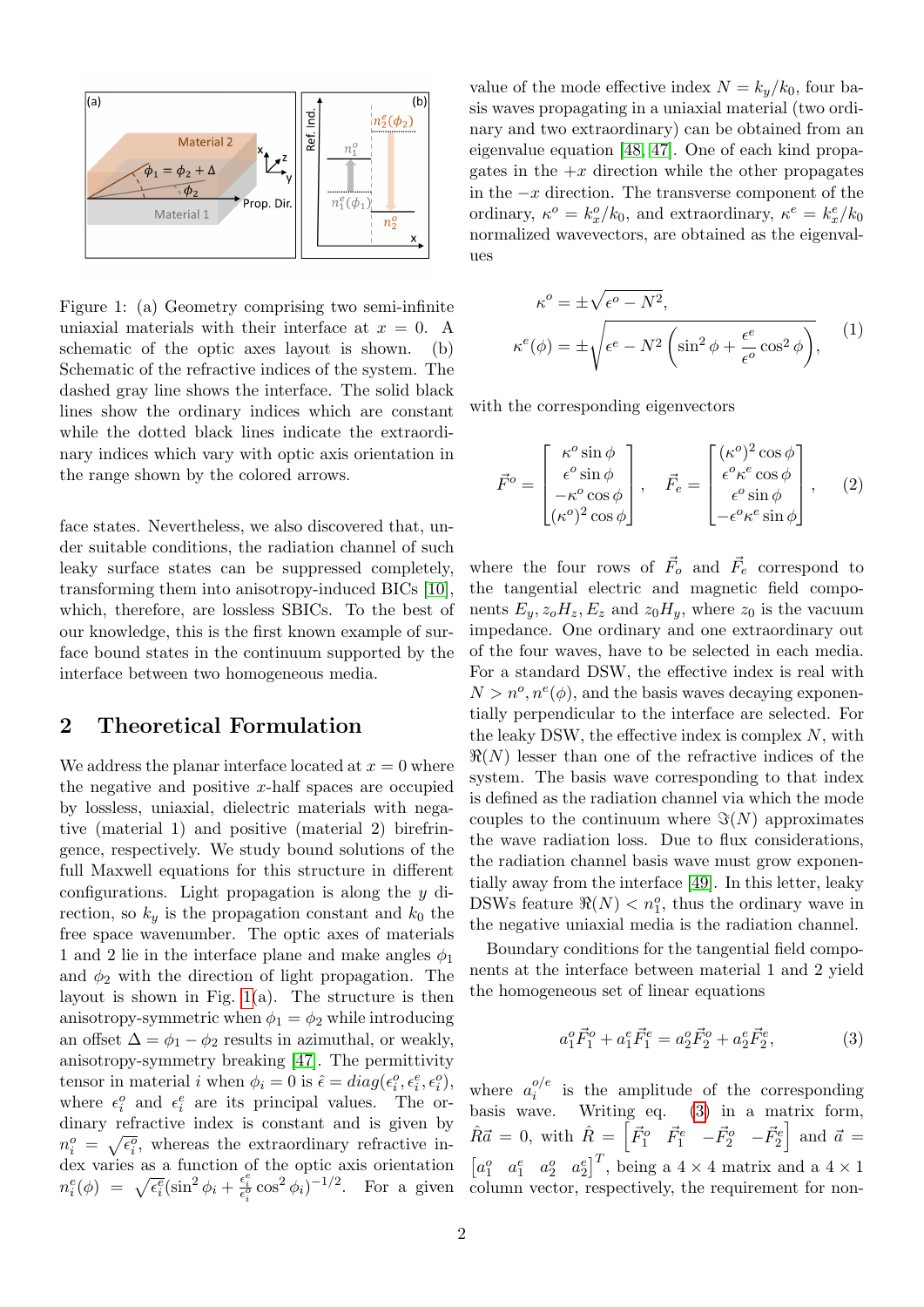

<span id="page-1-0"></span>Figure 1: (a) Geometry comprising two semi-infinite uniaxial materials with their interface at  $x = 0$ . A schematic of the optic axes layout is shown. (b) Schematic of the refractive indices of the system. The dashed gray line shows the interface. The solid black lines show the ordinary indices which are constant while the dotted black lines indicate the extraordinary indices which vary with optic axis orientation in the range shown by the colored arrows.

face states. Nevertheless, we also discovered that, under suitable conditions, the radiation channel of such leaky surface states can be suppressed completely, transforming them into anisotropy-induced BICs [\[10\]](#page-6-9), which, therefore, are lossless SBICs. To the best of our knowledge, this is the first known example of surface bound states in the continuum supported by the interface between two homogeneous media.

## 2 Theoretical Formulation

We address the planar interface located at  $x = 0$  where the negative and positive  $x$ -half spaces are occupied by lossless, uniaxial, dielectric materials with negative (material 1) and positive (material 2) birefringence, respectively. We study bound solutions of the full Maxwell equations for this structure in different configurations. Light propagation is along the y direction, so  $k_y$  is the propagation constant and  $k_0$  the free space wavenumber. The optic axes of materials 1 and 2 lie in the interface plane and make angles  $\phi_1$ and  $\phi_2$  with the direction of light propagation. The layout is shown in Fig. [1\(](#page-1-0)a). The structure is then anisotropy-symmetric when  $\phi_1 = \phi_2$  while introducing an offset  $\Delta = \phi_1 - \phi_2$  results in azimuthal, or weakly, anisotropy-symmetry breaking [\[47\]](#page-8-11). The permittivity tensor in material *i* when  $\phi_i = 0$  is  $\hat{\epsilon} = diag(\epsilon_i^o, \epsilon_i^e, \epsilon_i^o)$ , where  $\epsilon_i^o$  and  $\epsilon_i^e$  are its principal values. The ordinary refractive index is constant and is given by  $n_i^o = \sqrt{\epsilon_i^o}$ , whereas the extraordinary refractive index varies as a function of the optic axis orientation  $n_i^e(\phi) = \sqrt{\epsilon_i^e}(\sin^2\phi_i + \frac{\epsilon_i^e}{\epsilon_i^o}\cos^2\phi_i)^{-1/2}$ . For a given

value of the mode effective index  $N = k_y/k_0$ , four basis waves propagating in a uniaxial material (two ordinary and two extraordinary) can be obtained from an eigenvalue equation [\[48,](#page-8-12) [47\]](#page-8-11). One of each kind propagates in the  $+x$  direction while the other propagates in the  $-x$  direction. The transverse component of the ordinary,  $\kappa^o = k_x^o / k_0$ , and extraordinary,  $\kappa^e = k_x^e / k_0$ normalized wavevectors, are obtained as the eigenvalues

$$
\kappa^o = \pm \sqrt{\epsilon^o - N^2},
$$
  
\n
$$
\kappa^e(\phi) = \pm \sqrt{\epsilon^e - N^2 \left(\sin^2 \phi + \frac{\epsilon^e}{\epsilon^o} \cos^2 \phi\right)},
$$
\n(1)

with the corresponding eigenvectors

κ

$$
\vec{F}^o = \begin{bmatrix} \kappa^o \sin \phi \\ \epsilon^o \sin \phi \\ -\kappa^o \cos \phi \\ (\kappa^o)^2 \cos \phi \end{bmatrix}, \quad \vec{F}_e = \begin{bmatrix} (\kappa^o)^2 \cos \phi \\ \epsilon^o \kappa^e \cos \phi \\ \epsilon^o \sin \phi \\ -\epsilon^o \kappa^e \sin \phi \end{bmatrix}, \quad (2)
$$

where the four rows of  $\vec{F}_o$  and  $\vec{F}_e$  correspond to the tangential electric and magnetic field components  $E_y$ ,  $z_oH_z$ ,  $E_z$  and  $z_0H_y$ , where  $z_0$  is the vacuum impedance. One ordinary and one extraordinary out of the four waves, have to be selected in each media. For a standard DSW, the effective index is real with  $N > n^o, n^e(\phi)$ , and the basis waves decaying exponentially perpendicular to the interface are selected. For the leaky DSW, the effective index is complex  $N$ , with  $\Re(N)$  lesser than one of the refractive indices of the system. The basis wave corresponding to that index is defined as the radiation channel via which the mode couples to the continuum where  $\Im(N)$  approximates the wave radiation loss. Due to flux considerations, the radiation channel basis wave must grow exponentially away from the interface [\[49\]](#page-8-13). In this letter, leaky DSWs feature  $\Re(N) < n_1^o$ , thus the ordinary wave in the negative uniaxial media is the radiation channel.

Boundary conditions for the tangential field components at the interface between material 1 and 2 yield the homogeneous set of linear equations

<span id="page-1-1"></span>
$$
a_1^o \vec{F}_1^o + a_1^e \vec{F}_1^e = a_2^o \vec{F}_2^o + a_2^e \vec{F}_2^e,\tag{3}
$$

where  $a_i^{o/e}$  $i_i^{o/e}$  is the amplitude of the corresponding basis wave. Writing eq. [\(3\)](#page-1-1) in a matrix form,  $\hat{R}\vec{a} = 0$ , with  $\hat{R} = \begin{bmatrix} \vec{F}_1^o & \vec{F}_1^e & -\vec{F}_2^o & -\vec{F}_2^e \end{bmatrix}$  and  $\vec{a} =$  $[a_1^o \quad a_1^e \quad a_2^o \quad a_2^e]$ <sup>T</sup>, being a 4 × 4 matrix and a 4 × 1 column vector, respectively, the requirement for non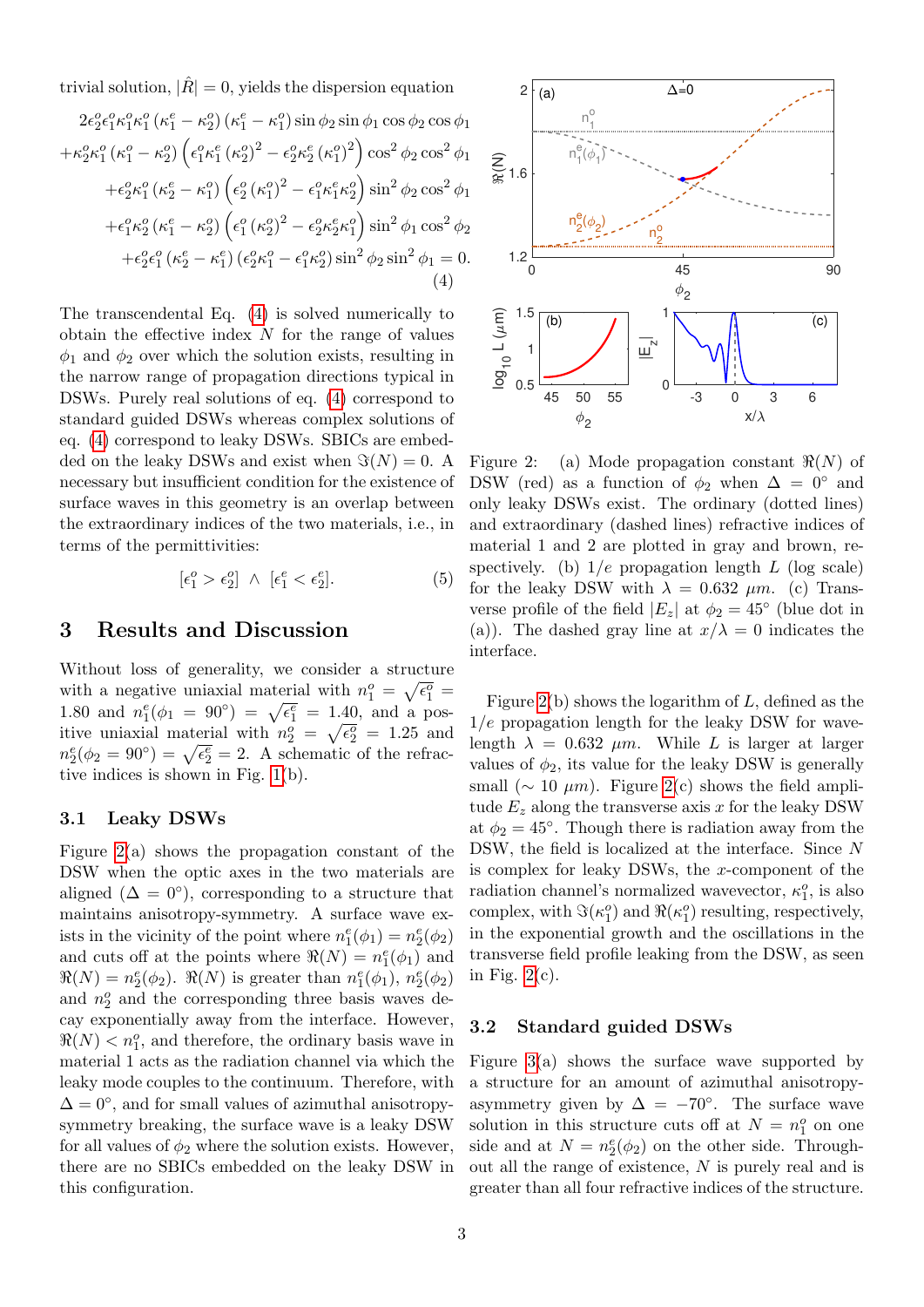trivial solution,  $|\hat{R}| = 0$ , yields the dispersion equation

<span id="page-2-0"></span>
$$
2\epsilon_2^o \epsilon_1^o \kappa_1^o (\kappa_1^e - \kappa_2^o) (\kappa_1^e - \kappa_1^o) \sin \phi_2 \sin \phi_1 \cos \phi_2 \cos \phi_1 + \kappa_2^o \kappa_1^o (\kappa_1^o - \kappa_2^o) (\epsilon_1^o \kappa_1^e (\kappa_2^o)^2 - \epsilon_2^o \kappa_2^e (\kappa_1^o)^2) \cos^2 \phi_2 \cos^2 \phi_1 + \epsilon_2^o \kappa_1^o (\kappa_2^e - \kappa_1^o) (\epsilon_2^o (\kappa_1^o)^2 - \epsilon_1^o \kappa_1^e \kappa_2^o) \sin^2 \phi_2 \cos^2 \phi_1 + \epsilon_1^o \kappa_2^o (\kappa_1^e - \kappa_2^o) (\epsilon_1^o (\kappa_2^o)^2 - \epsilon_2^o \kappa_2^e \kappa_1^o) \sin^2 \phi_1 \cos^2 \phi_2 + \epsilon_2^o \epsilon_1^o (\kappa_2^e - \kappa_1^e) (\epsilon_2^o \kappa_1^o - \epsilon_1^o \kappa_2^o) \sin^2 \phi_2 \sin^2 \phi_1 = 0.
$$
\n(4)

The transcendental Eq. [\(4\)](#page-2-0) is solved numerically to obtain the effective index  $N$  for the range of values  $\phi_1$  and  $\phi_2$  over which the solution exists, resulting in the narrow range of propagation directions typical in DSWs. Purely real solutions of eq. [\(4\)](#page-2-0) correspond to standard guided DSWs whereas complex solutions of eq. [\(4\)](#page-2-0) correspond to leaky DSWs. SBICs are embedded on the leaky DSWs and exist when  $\Im(N) = 0$ . A necessary but insufficient condition for the existence of surface waves in this geometry is an overlap between the extraordinary indices of the two materials, i.e., in terms of the permittivities:

$$
[\epsilon_1^o > \epsilon_2^o] \ \wedge \ [\epsilon_1^e < \epsilon_2^e]. \tag{5}
$$

## 3 Results and Discussion

Without loss of generality, we consider a structure with a negative uniaxial material with  $n_1^o = \sqrt{\epsilon_1^o}$ 1.80 and  $n_1^e(\phi_1 = 90^\circ) = \sqrt{\epsilon_1^e} = 1.40$ , and a positive uniaxial material with  $n_2^o = \sqrt{\epsilon_2^o} = 1.25$  and  $n_2^e(\phi_2 = 90^\circ) = \sqrt{\epsilon_2^e} = 2.$  A schematic of the refractive indices is shown in Fig. [1\(](#page-1-0)b).

### 3.1 Leaky DSWs

Figure [2\(](#page-2-1)a) shows the propagation constant of the DSW when the optic axes in the two materials are aligned  $(\Delta = 0^{\circ})$ , corresponding to a structure that maintains anisotropy-symmetry. A surface wave exists in the vicinity of the point where  $n_1^e(\phi_1) = n_2^e(\phi_2)$ and cuts off at the points where  $\Re(N) = n_1^e(\phi_1)$  and  $\Re(N) = n_2^e(\phi_2)$ .  $\Re(N)$  is greater than  $n_1^e(\phi_1)$ ,  $n_2^e(\phi_2)$ and  $n_2^o$  and the corresponding three basis waves decay exponentially away from the interface. However,  $\Re(N) < n_1^o$ , and therefore, the ordinary basis wave in material 1 acts as the radiation channel via which the leaky mode couples to the continuum. Therefore, with  $\Delta = 0^{\circ}$ , and for small values of azimuthal anisotropysymmetry breaking, the surface wave is a leaky DSW for all values of  $\phi_2$  where the solution exists. However, there are no SBICs embedded on the leaky DSW in this configuration.



<span id="page-2-1"></span>Figure 2: (a) Mode propagation constant  $\Re(N)$  of DSW (red) as a function of  $\phi_2$  when  $\Delta = 0^{\circ}$  and only leaky DSWs exist. The ordinary (dotted lines) and extraordinary (dashed lines) refractive indices of material 1 and 2 are plotted in gray and brown, respectively. (b)  $1/e$  propagation length L (log scale) for the leaky DSW with  $\lambda = 0.632$   $\mu$ m. (c) Transverse profile of the field  $|E_z|$  at  $\phi_2 = 45^{\circ}$  (blue dot in (a)). The dashed gray line at  $x/\lambda = 0$  indicates the interface.

Figure [2\(](#page-2-1)b) shows the logarithm of  $L$ , defined as the  $1/e$  propagation length for the leaky DSW for wavelength  $\lambda = 0.632 \mu m$ . While L is larger at larger values of  $\phi_2$ , its value for the leaky DSW is generally small ( $\sim 10 \ \mu m$ ). Figure [2\(](#page-2-1)c) shows the field amplitude  $E_z$  along the transverse axis x for the leaky DSW at  $\phi_2 = 45^\circ$ . Though there is radiation away from the DSW, the field is localized at the interface. Since N is complex for leaky DSWs, the x-component of the radiation channel's normalized wavevector,  $\kappa_1^o$ , is also complex, with  $\Im(\kappa_1^o)$  and  $\Re(\kappa_1^o)$  resulting, respectively, in the exponential growth and the oscillations in the transverse field profile leaking from the DSW, as seen in Fig.  $2(c)$ .

### 3.2 Standard guided DSWs

Figure [3\(](#page-3-0)a) shows the surface wave supported by a structure for an amount of azimuthal anisotropyasymmetry given by  $\Delta = -70^{\circ}$ . The surface wave solution in this structure cuts off at  $N = n_1^o$  on one side and at  $N = n_2^e(\phi_2)$  on the other side. Throughout all the range of existence, N is purely real and is greater than all four refractive indices of the structure.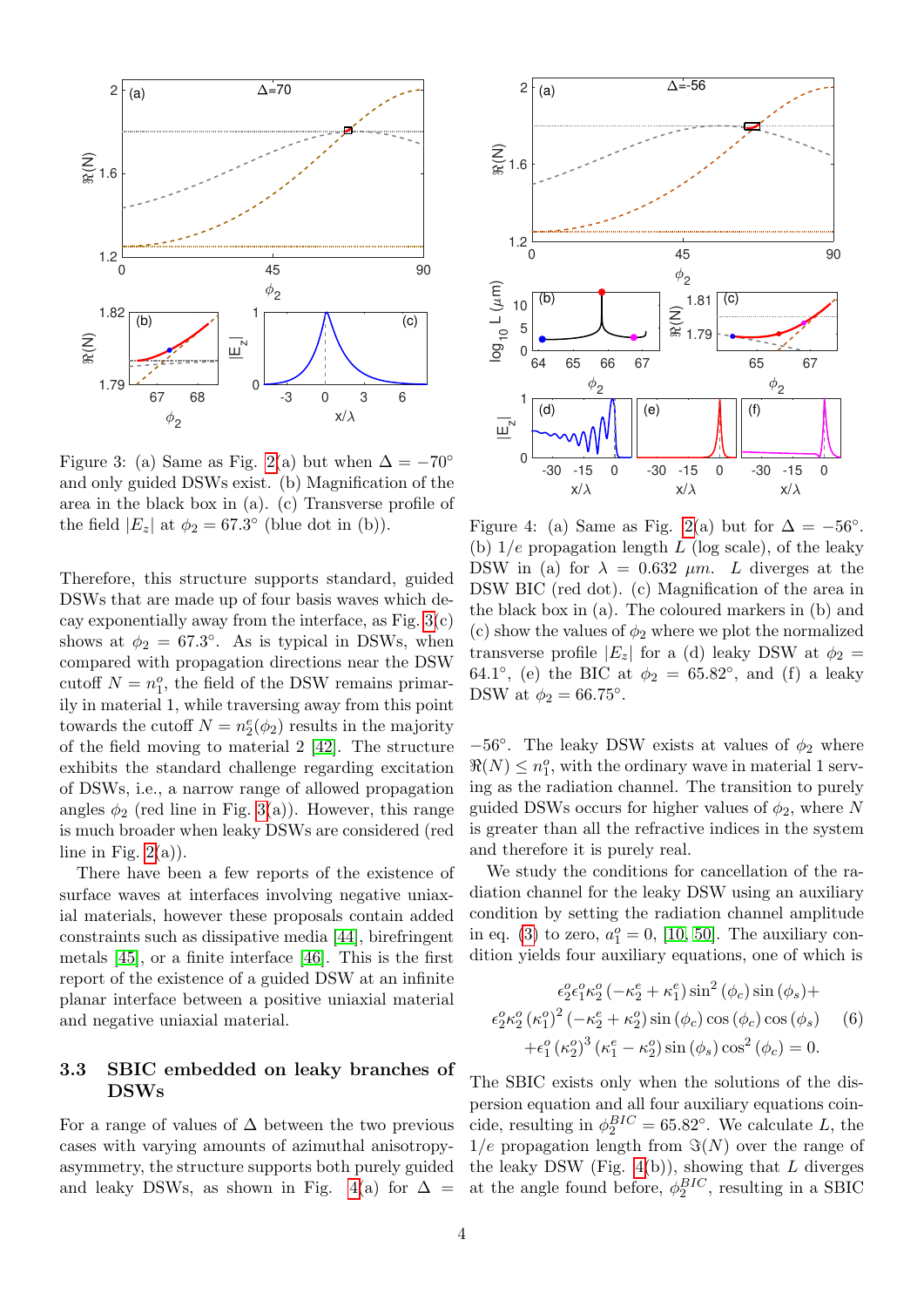

<span id="page-3-0"></span>Figure 3: (a) Same as Fig. [2\(](#page-2-1)a) but when  $\Delta = -70^{\circ}$ and only guided DSWs exist. (b) Magnification of the area in the black box in (a). (c) Transverse profile of the field  $|E_z|$  at  $\phi_2 = 67.3^{\circ}$  (blue dot in (b)).

Therefore, this structure supports standard, guided DSWs that are made up of four basis waves which decay exponentially away from the interface, as Fig.  $3(c)$ shows at  $\phi_2 = 67.3^{\circ}$ . As is typical in DSWs, when compared with propagation directions near the DSW cutoff  $N = n_1^o$ , the field of the DSW remains primarily in material 1, while traversing away from this point towards the cutoff  $N = n_2^e(\phi_2)$  results in the majority of the field moving to material 2 [\[42\]](#page-8-6). The structure exhibits the standard challenge regarding excitation of DSWs, i.e., a narrow range of allowed propagation angles  $\phi_2$  (red line in Fig. [3\(](#page-3-0)a)). However, this range is much broader when leaky DSWs are considered (red line in Fig.  $2(a)$ ).

There have been a few reports of the existence of surface waves at interfaces involving negative uniaxial materials, however these proposals contain added constraints such as dissipative media [\[44\]](#page-8-8), birefringent metals [\[45\]](#page-8-9), or a finite interface [\[46\]](#page-8-10). This is the first report of the existence of a guided DSW at an infinite planar interface between a positive uniaxial material and negative uniaxial material.

## 3.3 SBIC embedded on leaky branches of DSWs

For a range of values of  $\Delta$  between the two previous cases with varying amounts of azimuthal anisotropyasymmetry, the structure supports both purely guided and leaky DSWs, as shown in Fig. [4\(](#page-3-1)a) for  $\Delta =$ 



<span id="page-3-1"></span>Figure 4: (a) Same as Fig. [2\(](#page-2-1)a) but for  $\Delta = -56^{\circ}$ . (b)  $1/e$  propagation length L (log scale), of the leaky DSW in (a) for  $\lambda = 0.632$   $\mu$ m. L diverges at the DSW BIC (red dot). (c) Magnification of the area in the black box in (a). The coloured markers in (b) and (c) show the values of  $\phi_2$  where we plot the normalized transverse profile  $|E_z|$  for a (d) leaky DSW at  $\phi_2 =$ 64.1°, (e) the BIC at  $\phi_2 = 65.82$ °, and (f) a leaky DSW at  $\phi_2 = 66.75^\circ$ .

−56°. The leaky DSW exists at values of  $\phi_2$  where  $\Re(N) \leq n_1^o$ , with the ordinary wave in material 1 serving as the radiation channel. The transition to purely guided DSWs occurs for higher values of  $\phi_2$ , where N is greater than all the refractive indices in the system and therefore it is purely real.

We study the conditions for cancellation of the radiation channel for the leaky DSW using an auxiliary condition by setting the radiation channel amplitude in eq. [\(3\)](#page-1-1) to zero,  $a_1^o = 0$ , [\[10,](#page-6-9) [50\]](#page-8-14). The auxiliary condition yields four auxiliary equations, one of which is

$$
\epsilon_2^o \epsilon_1^o \kappa_2^o \left( -\kappa_2^e + \kappa_1^e \right) \sin^2 (\phi_c) \sin (\phi_s) +
$$
  

$$
\epsilon_2^o \kappa_2^o (\kappa_1^o)^2 \left( -\kappa_2^e + \kappa_2^o \right) \sin (\phi_c) \cos (\phi_c) \cos (\phi_s) \qquad (6)
$$
  

$$
+ \epsilon_1^o (\kappa_2^o)^3 (\kappa_1^e - \kappa_2^o) \sin (\phi_s) \cos^2 (\phi_c) = 0.
$$

The SBIC exists only when the solutions of the dispersion equation and all four auxiliary equations coincide, resulting in  $\phi_2^{BIC} = 65.82^{\circ}$ . We calculate L, the  $1/e$  propagation length from  $\Im(N)$  over the range of the leaky DSW (Fig.  $4(b)$ ), showing that L diverges at the angle found before,  $\phi_2^{BIC}$ , resulting in a SBIC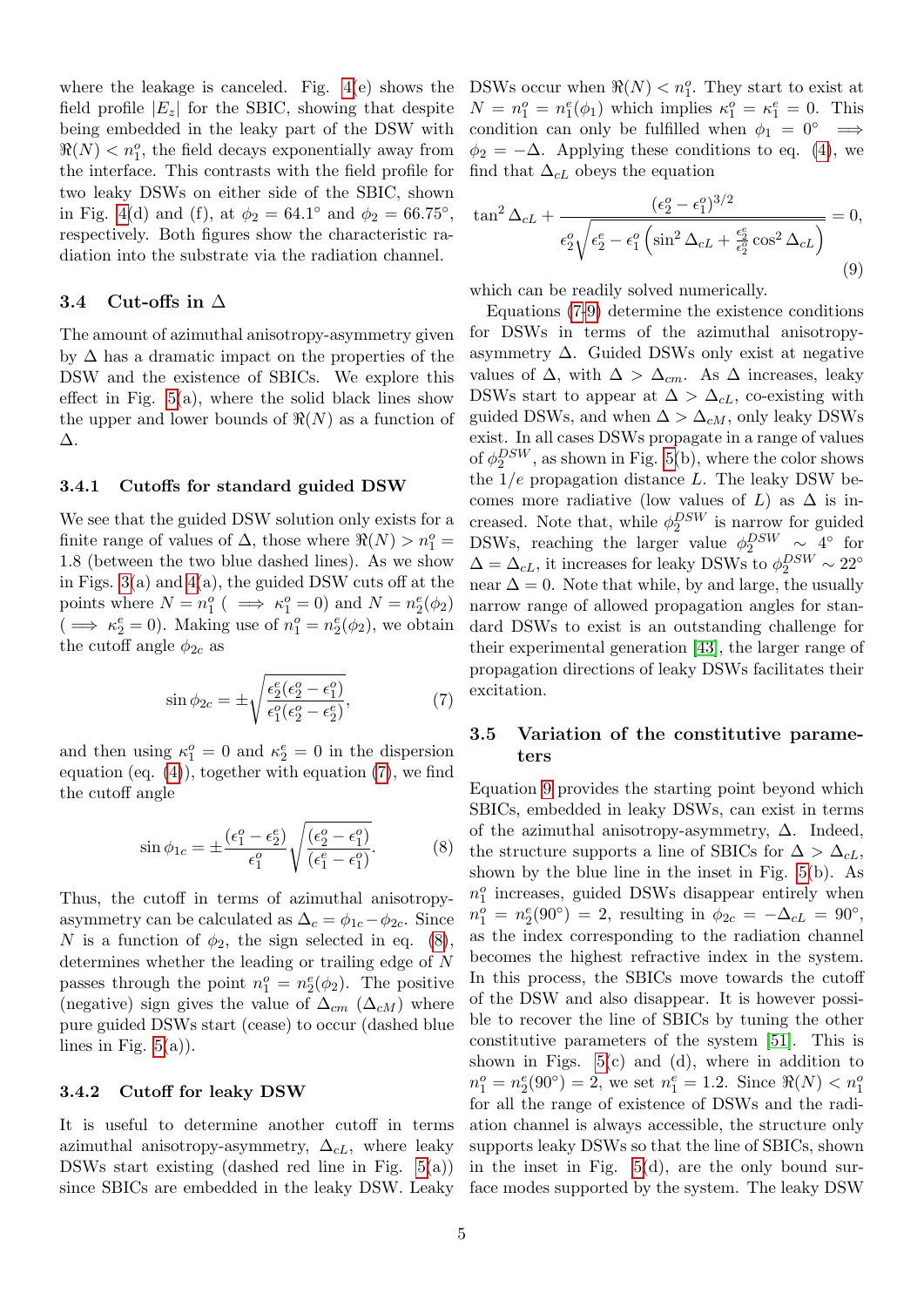where the leakage is canceled. Fig. [4\(](#page-3-1)e) shows the field profile  $|E_z|$  for the SBIC, showing that despite being embedded in the leaky part of the DSW with  $\Re(N) < n_1^o$ , the field decays exponentially away from the interface. This contrasts with the field profile for two leaky DSWs on either side of the SBIC, shown in Fig. [4\(](#page-3-1)d) and (f), at  $\phi_2 = 64.1^{\circ}$  and  $\phi_2 = 66.75^{\circ}$ , respectively. Both figures show the characteristic radiation into the substrate via the radiation channel.

### 3.4 Cut-offs in  $\Delta$

The amount of azimuthal anisotropy-asymmetry given by  $\Delta$  has a dramatic impact on the properties of the DSW and the existence of SBICs. We explore this effect in Fig.  $5(a)$ , where the solid black lines show the upper and lower bounds of  $\Re(N)$  as a function of ∆.

#### 3.4.1 Cutoffs for standard guided DSW

We see that the guided DSW solution only exists for a finite range of values of  $\Delta$ , those where  $\Re(N) > n_1^o =$ 1.8 (between the two blue dashed lines). As we show in Figs.  $3(a)$  and  $4(a)$ , the guided DSW cuts off at the points where  $N = n_1^o$  (  $\implies \kappa_1^o = 0$ ) and  $N = n_2^e(\phi_2)$  $(\implies \kappa_2^e = 0)$ . Making use of  $n_1^o = n_2^e(\phi_2)$ , we obtain the cutoff angle  $\phi_{2c}$  as

<span id="page-4-0"></span>
$$
\sin \phi_{2c} = \pm \sqrt{\frac{\epsilon_2^e(\epsilon_2^o - \epsilon_1^o)}{\epsilon_1^o(\epsilon_2^o - \epsilon_2^e)}},\tag{7}
$$

and then using  $\kappa_1^o = 0$  and  $\kappa_2^e = 0$  in the dispersion equation (eq.  $(4)$ ), together with equation  $(7)$ , we find the cutoff angle

<span id="page-4-1"></span>
$$
\sin \phi_{1c} = \pm \frac{(\epsilon_1^o - \epsilon_2^e)}{\epsilon_1^o} \sqrt{\frac{(\epsilon_2^o - \epsilon_1^o)}{(\epsilon_1^e - \epsilon_1^o)}}.
$$
 (8)

Thus, the cutoff in terms of azimuthal anisotropyasymmetry can be calculated as  $\Delta_c = \phi_{1c} - \phi_{2c}$ . Since N is a function of  $\phi_2$ , the sign selected in eq. [\(8\)](#page-4-1), determines whether the leading or trailing edge of N passes through the point  $n_1^o = n_2^e(\phi_2)$ . The positive (negative) sign gives the value of  $\Delta_{cm}$  ( $\Delta_{cM}$ ) where pure guided DSWs start (cease) to occur (dashed blue lines in Fig.  $5(a)$ ).

#### 3.4.2 Cutoff for leaky DSW

It is useful to determine another cutoff in terms azimuthal anisotropy-asymmetry,  $\Delta_{cL}$ , where leaky DSWs start existing (dashed red line in Fig.  $5(a)$ ) since SBICs are embedded in the leaky DSW. Leaky

DSWs occur when  $\Re(N) < n_1^o$ . They start to exist at  $N = n_1^o = n_1^e(\phi_1)$  which implies  $\kappa_1^o = \kappa_1^e = 0$ . This condition can only be fulfilled when  $\phi_1 = 0^\circ \implies$  $\phi_2 = -\Delta$ . Applying these conditions to eq. [\(4\)](#page-2-0), we find that  $\Delta_{cL}$  obeys the equation

<span id="page-4-2"></span>
$$
\tan^2 \Delta_{cL} + \frac{(\epsilon_2^o - \epsilon_1^o)^{3/2}}{\epsilon_2^o \sqrt{\epsilon_2^e - \epsilon_1^o \left(\sin^2 \Delta_{cL} + \frac{\epsilon_2^e}{\epsilon_2^o} \cos^2 \Delta_{cL}\right)}} = 0,
$$
\n(9)

which can be readily solved numerically.

Equations [\(7](#page-4-0)[-9\)](#page-4-2) determine the existence conditions for DSWs in terms of the azimuthal anisotropyasymmetry  $\Delta$ . Guided DSWs only exist at negative values of  $\Delta$ , with  $\Delta > \Delta_{cm}$ . As  $\Delta$  increases, leaky DSWs start to appear at  $\Delta > \Delta_{cL}$ , co-existing with guided DSWs, and when  $\Delta > \Delta_{cM}$ , only leaky DSWs exist. In all cases DSWs propagate in a range of values of  $\phi_2^{DSW}$ , as shown in Fig. [5\(](#page-5-0)b), where the color shows the  $1/e$  propagation distance L. The leaky DSW becomes more radiative (low values of L) as  $\Delta$  is increased. Note that, while  $\phi_2^{DSW}$  is narrow for guided DSWs, reaching the larger value  $\phi_2^{DSW} \sim 4^{\circ}$  for  $\Delta = \Delta_{cL}$ , it increases for leaky DSWs to  $\phi_2^{DSW} \sim 22^{\circ}$ near  $\Delta = 0$ . Note that while, by and large, the usually narrow range of allowed propagation angles for standard DSWs to exist is an outstanding challenge for their experimental generation [\[43\]](#page-8-7), the larger range of propagation directions of leaky DSWs facilitates their excitation.

### 3.5 Variation of the constitutive parameters

Equation [9](#page-4-2) provides the starting point beyond which SBICs, embedded in leaky DSWs, can exist in terms of the azimuthal anisotropy-asymmetry,  $\Delta$ . Indeed, the structure supports a line of SBICs for  $\Delta > \Delta_{cL}$ , shown by the blue line in the inset in Fig. [5\(](#page-5-0)b). As  $n_1^o$  increases, guided DSWs disappear entirely when  $n_1^o = n_2^e(90^\circ) = 2$ , resulting in  $\phi_{2c} = -\Delta_{cL} = 90^\circ$ , as the index corresponding to the radiation channel becomes the highest refractive index in the system. In this process, the SBICs move towards the cutoff of the DSW and also disappear. It is however possible to recover the line of SBICs by tuning the other constitutive parameters of the system [\[51\]](#page-8-15). This is shown in Figs.  $5(c)$  and (d), where in addition to  $n_1^o = n_2^e(90^\circ) = 2$ , we set  $n_1^e = 1.2$ . Since  $\Re(N) < n_1^o$ for all the range of existence of DSWs and the radiation channel is always accessible, the structure only supports leaky DSWs so that the line of SBICs, shown in the inset in Fig. [5\(](#page-5-0)d), are the only bound surface modes supported by the system. The leaky DSW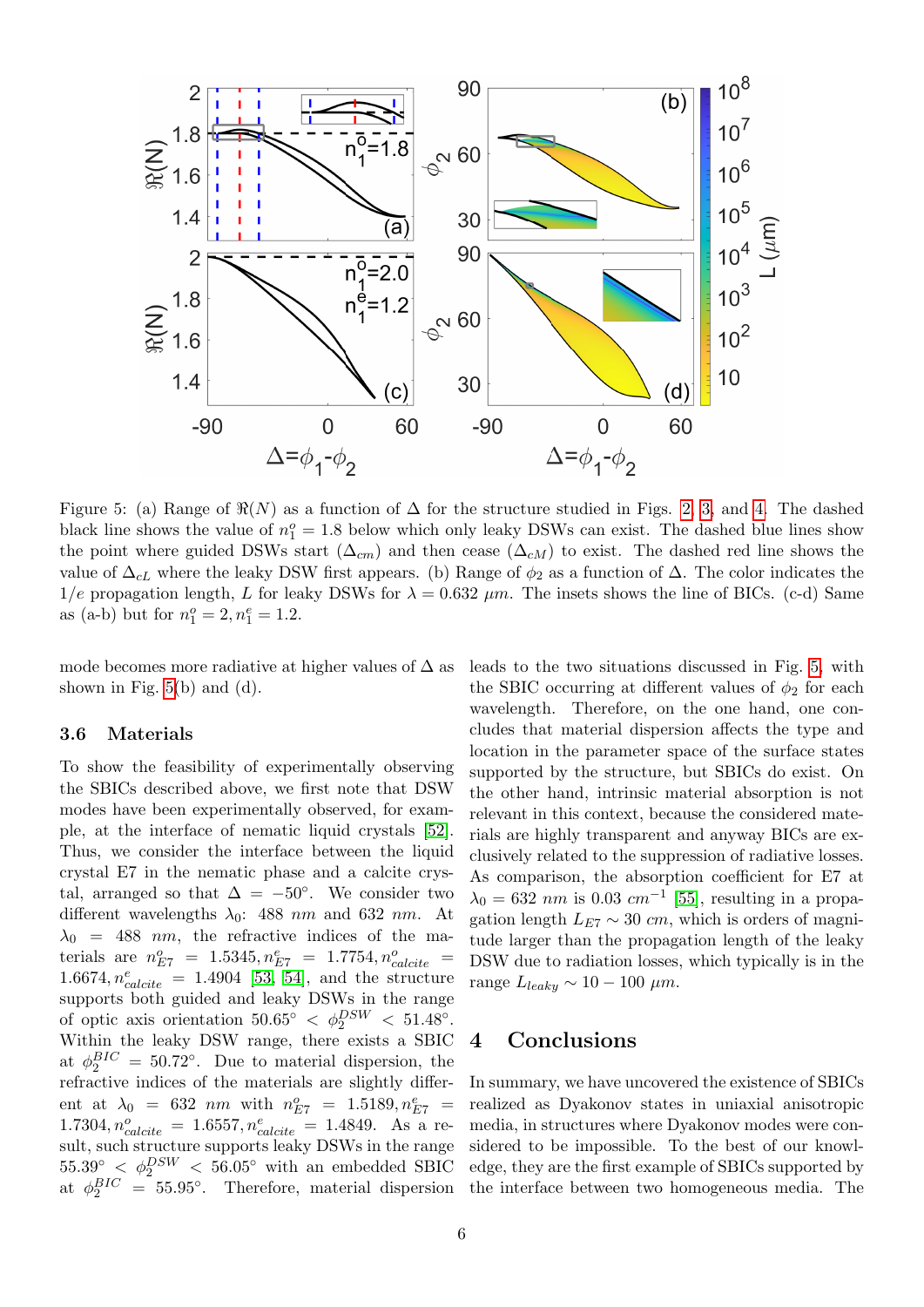

<span id="page-5-0"></span>Figure 5: (a) Range of  $\Re(N)$  as a function of  $\Delta$  for the structure studied in Figs. [2,](#page-2-1) [3,](#page-3-0) and [4.](#page-3-1) The dashed black line shows the value of  $n_1^o = 1.8$  below which only leaky DSWs can exist. The dashed blue lines show the point where guided DSWs start  $(\Delta_{cm})$  and then cease  $(\Delta_{cM})$  to exist. The dashed red line shows the value of  $\Delta_{cL}$  where the leaky DSW first appears. (b) Range of  $\phi_2$  as a function of  $\Delta$ . The color indicates the  $1/e$  propagation length, L for leaky DSWs for  $\lambda = 0.632 \ \mu m$ . The insets shows the line of BICs. (c-d) Same as (a-b) but for  $n_1^o = 2, n_1^e = 1.2$ .

mode becomes more radiative at higher values of  $\Delta$  as shown in Fig.  $5(b)$  and  $(d)$ .

#### 3.6 Materials

To show the feasibility of experimentally observing the SBICs described above, we first note that DSW modes have been experimentally observed, for example, at the interface of nematic liquid crystals [\[52\]](#page-8-16). Thus, we consider the interface between the liquid crystal E7 in the nematic phase and a calcite crystal, arranged so that  $\Delta = -50^{\circ}$ . We consider two different wavelengths  $\lambda_0$ : 488 nm and 632 nm. At  $\lambda_0$  = 488 nm, the refractive indices of the materials are  $n_{E7}^o = 1.5345, n_{E7}^e = 1.7754, n_{calcite}^o =$  $1.6674, n_{calcite}^e = 1.4904$  [\[53,](#page-8-17) [54\]](#page-8-18), and the structure supports both guided and leaky DSWs in the range of optic axis orientation  $50.65° < \phi_2^{DSW} < 51.48°$ . Within the leaky DSW range, there exists a SBIC at  $\phi_2^{BIC} = 50.72^{\circ}$ . Due to material dispersion, the refractive indices of the materials are slightly different at  $\lambda_0 = 632 \ nm$  with  $n_{E7}^o = 1.5189, n_{E7}^e =$  $1.7304, n_{calcite}^o = 1.6557, n_{calcite}^e = 1.4849.$  As a result, such structure supports leaky DSWs in the range  $55.39^{\circ} < \phi_2^{DSW} < 56.05^{\circ}$  with an embedded SBIC at  $\phi_2^{BIC} = 55.95^{\circ}$ . Therefore, material dispersion

leads to the two situations discussed in Fig. [5,](#page-5-0) with the SBIC occurring at different values of  $\phi_2$  for each wavelength. Therefore, on the one hand, one concludes that material dispersion affects the type and location in the parameter space of the surface states supported by the structure, but SBICs do exist. On the other hand, intrinsic material absorption is not relevant in this context, because the considered materials are highly transparent and anyway BICs are exclusively related to the suppression of radiative losses. As comparison, the absorption coefficient for E7 at  $\lambda_0 = 632 \ nm$  is 0.03  $cm^{-1}$  [\[55\]](#page-8-19), resulting in a propagation length  $L_{E7} \sim 30$  cm, which is orders of magnitude larger than the propagation length of the leaky DSW due to radiation losses, which typically is in the range  $L_{leaky} \sim 10 - 100 \ \mu m$ .

### 4 Conclusions

In summary, we have uncovered the existence of SBICs realized as Dyakonov states in uniaxial anisotropic media, in structures where Dyakonov modes were considered to be impossible. To the best of our knowledge, they are the first example of SBICs supported by the interface between two homogeneous media. The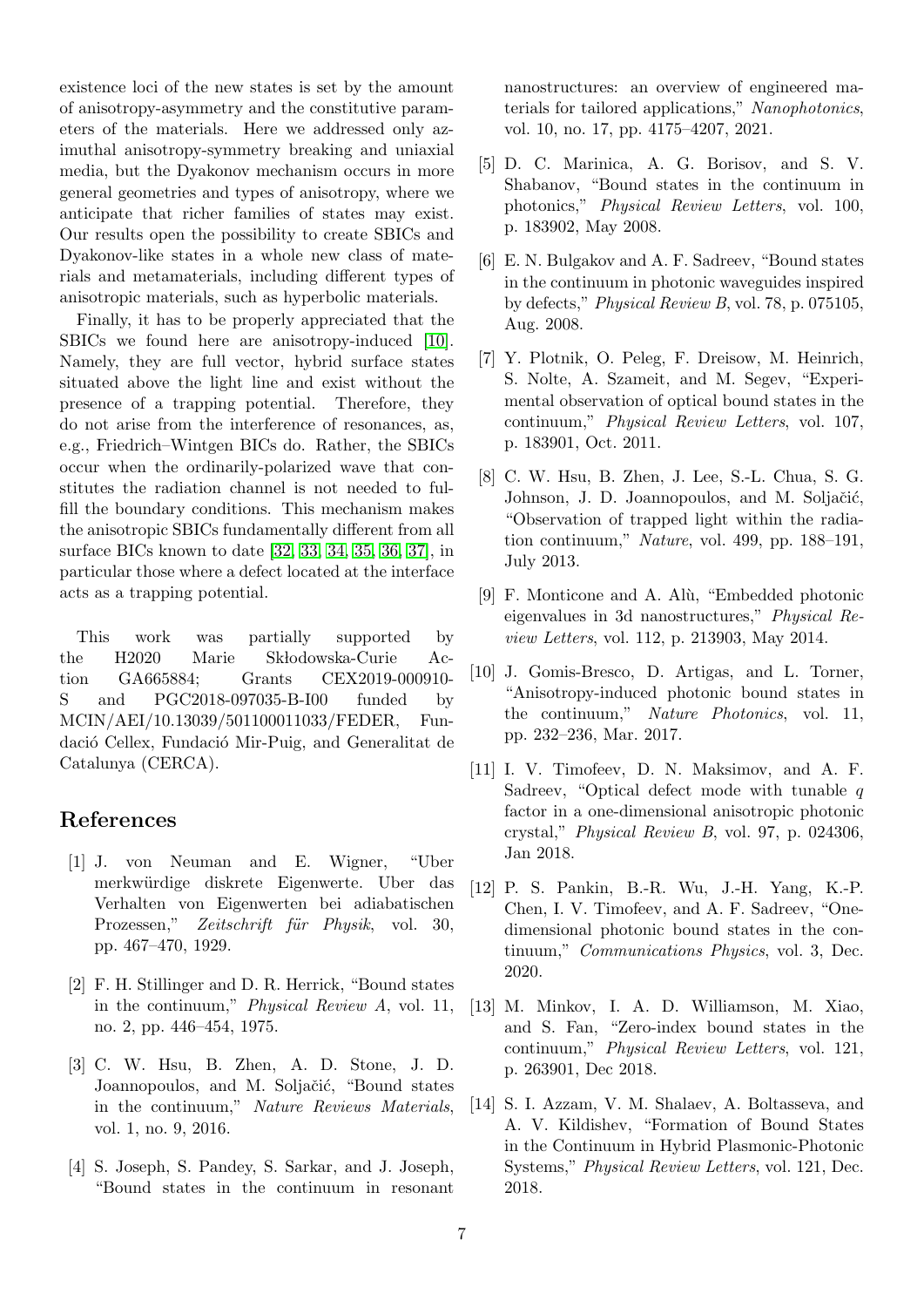existence loci of the new states is set by the amount of anisotropy-asymmetry and the constitutive parameters of the materials. Here we addressed only azimuthal anisotropy-symmetry breaking and uniaxial media, but the Dyakonov mechanism occurs in more general geometries and types of anisotropy, where we anticipate that richer families of states may exist. Our results open the possibility to create SBICs and Dyakonov-like states in a whole new class of materials and metamaterials, including different types of anisotropic materials, such as hyperbolic materials.

Finally, it has to be properly appreciated that the SBICs we found here are anisotropy-induced [\[10\]](#page-6-9). Namely, they are full vector, hybrid surface states situated above the light line and exist without the presence of a trapping potential. Therefore, they do not arise from the interference of resonances, as, e.g., Friedrich–Wintgen BICs do. Rather, the SBICs occur when the ordinarily-polarized wave that constitutes the radiation channel is not needed to fulfill the boundary conditions. This mechanism makes the anisotropic SBICs fundamentally different from all surface BICs known to date [\[32,](#page-7-17) [33,](#page-7-18) [34,](#page-7-19) [35,](#page-7-20) [36,](#page-8-0) [37\]](#page-8-1), in particular those where a defect located at the interface acts as a trapping potential.

This work was partially supported by the H2020 Marie Skłodowska-Curie Action GA665884; Grants CEX2019-000910- S and PGC2018-097035-B-I00 funded by MCIN/AEI/10.13039/501100011033/FEDER, Fundació Cellex, Fundació Mir-Puig, and Generalitat de Catalunya (CERCA).

## References

- <span id="page-6-0"></span>[1] J. von Neuman and E. Wigner, "Uber merkwürdige diskrete Eigenwerte. Uber das Verhalten von Eigenwerten bei adiabatischen Prozessen," Zeitschrift für Physik, vol. 30, pp. 467–470, 1929.
- <span id="page-6-1"></span>[2] F. H. Stillinger and D. R. Herrick, "Bound states in the continuum," Physical Review A, vol. 11, no. 2, pp. 446–454, 1975.
- <span id="page-6-2"></span>[3] C. W. Hsu, B. Zhen, A. D. Stone, J. D. Joannopoulos, and M. Soljačić, "Bound states in the continuum," Nature Reviews Materials, vol. 1, no. 9, 2016.
- <span id="page-6-3"></span>[4] S. Joseph, S. Pandey, S. Sarkar, and J. Joseph, "Bound states in the continuum in resonant

nanostructures: an overview of engineered materials for tailored applications," Nanophotonics, vol. 10, no. 17, pp. 4175–4207, 2021.

- <span id="page-6-4"></span>[5] D. C. Marinica, A. G. Borisov, and S. V. Shabanov, "Bound states in the continuum in photonics," Physical Review Letters, vol. 100, p. 183902, May 2008.
- <span id="page-6-5"></span>[6] E. N. Bulgakov and A. F. Sadreev, "Bound states in the continuum in photonic waveguides inspired by defects," Physical Review B, vol. 78, p. 075105, Aug. 2008.
- <span id="page-6-6"></span>[7] Y. Plotnik, O. Peleg, F. Dreisow, M. Heinrich, S. Nolte, A. Szameit, and M. Segev, "Experimental observation of optical bound states in the continuum," Physical Review Letters, vol. 107, p. 183901, Oct. 2011.
- <span id="page-6-7"></span>[8] C. W. Hsu, B. Zhen, J. Lee, S.-L. Chua, S. G. Johnson, J. D. Joannopoulos, and M. Soljačić, "Observation of trapped light within the radiation continuum," Nature, vol. 499, pp. 188–191, July 2013.
- <span id="page-6-8"></span>[9] F. Monticone and A. Alù, "Embedded photonic eigenvalues in 3d nanostructures," Physical Review Letters, vol. 112, p. 213903, May 2014.
- <span id="page-6-9"></span>[10] J. Gomis-Bresco, D. Artigas, and L. Torner, "Anisotropy-induced photonic bound states in the continuum," Nature Photonics, vol. 11, pp. 232–236, Mar. 2017.
- <span id="page-6-10"></span>[11] I. V. Timofeev, D. N. Maksimov, and A. F. Sadreev, "Optical defect mode with tunable q factor in a one-dimensional anisotropic photonic crystal," Physical Review B, vol. 97, p. 024306, Jan 2018.
- <span id="page-6-11"></span>[12] P. S. Pankin, B.-R. Wu, J.-H. Yang, K.-P. Chen, I. V. Timofeev, and A. F. Sadreev, "Onedimensional photonic bound states in the continuum," Communications Physics, vol. 3, Dec. 2020.
- <span id="page-6-12"></span>[13] M. Minkov, I. A. D. Williamson, M. Xiao, and S. Fan, "Zero-index bound states in the continuum," Physical Review Letters, vol. 121, p. 263901, Dec 2018.
- <span id="page-6-13"></span>[14] S. I. Azzam, V. M. Shalaev, A. Boltasseva, and A. V. Kildishev, "Formation of Bound States in the Continuum in Hybrid Plasmonic-Photonic Systems," Physical Review Letters, vol. 121, Dec. 2018.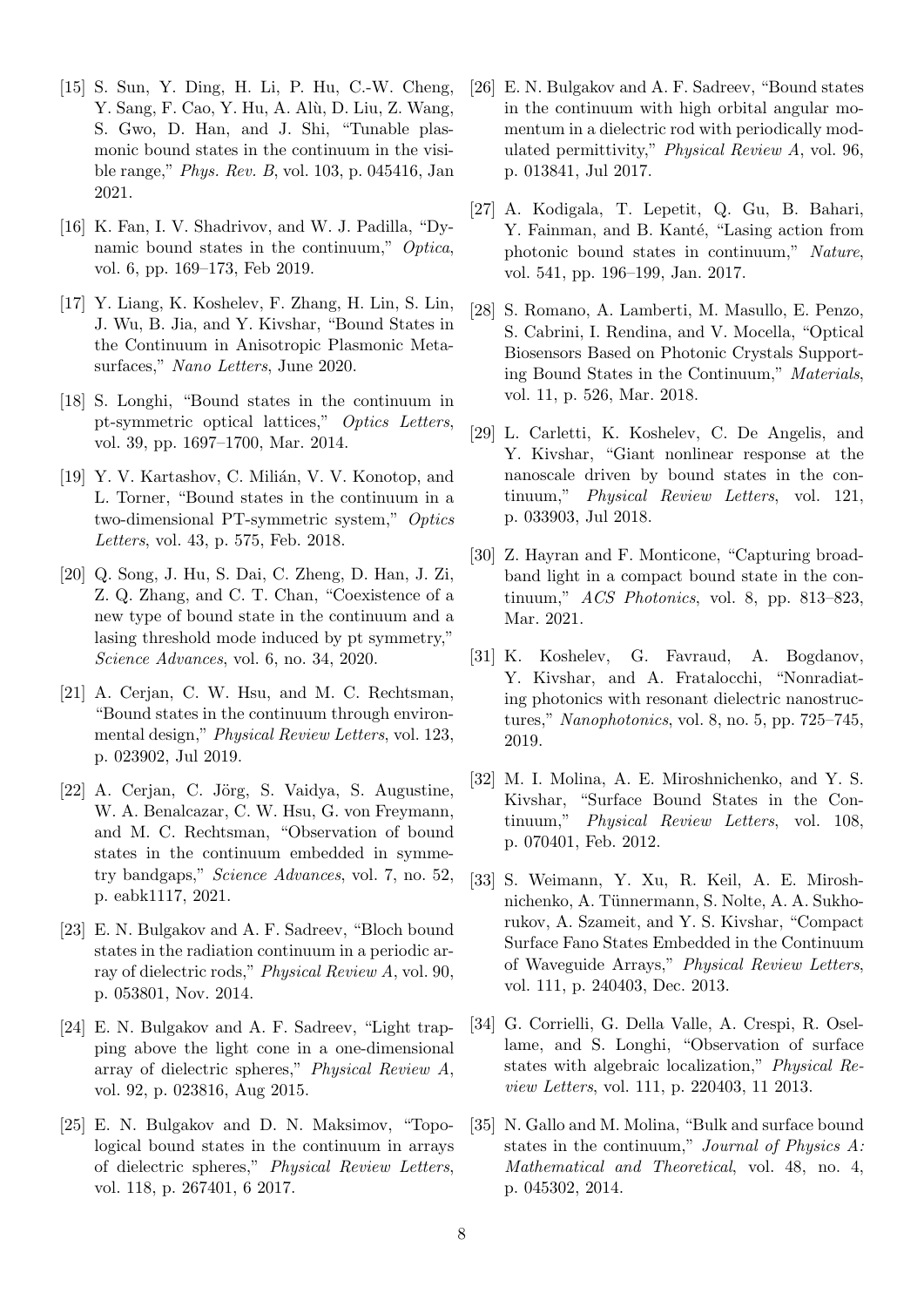- <span id="page-7-0"></span>[15] S. Sun, Y. Ding, H. Li, P. Hu, C.-W. Cheng, Y. Sang, F. Cao, Y. Hu, A. Alù, D. Liu, Z. Wang, S. Gwo, D. Han, and J. Shi, "Tunable plasmonic bound states in the continuum in the visible range," Phys. Rev. B, vol. 103, p. 045416, Jan 2021.
- <span id="page-7-1"></span>[16] K. Fan, I. V. Shadrivov, and W. J. Padilla, "Dynamic bound states in the continuum," Optica, vol. 6, pp. 169–173, Feb 2019.
- <span id="page-7-2"></span>[17] Y. Liang, K. Koshelev, F. Zhang, H. Lin, S. Lin, J. Wu, B. Jia, and Y. Kivshar, "Bound States in the Continuum in Anisotropic Plasmonic Metasurfaces," Nano Letters, June 2020.
- <span id="page-7-3"></span>[18] S. Longhi, "Bound states in the continuum in pt-symmetric optical lattices," Optics Letters, vol. 39, pp. 1697–1700, Mar. 2014.
- <span id="page-7-4"></span>[19] Y. V. Kartashov, C. Milián, V. V. Konotop, and L. Torner, "Bound states in the continuum in a two-dimensional PT-symmetric system," Optics Letters, vol. 43, p. 575, Feb. 2018.
- <span id="page-7-5"></span>[20] Q. Song, J. Hu, S. Dai, C. Zheng, D. Han, J. Zi, Z. Q. Zhang, and C. T. Chan, "Coexistence of a new type of bound state in the continuum and a lasing threshold mode induced by pt symmetry," Science Advances, vol. 6, no. 34, 2020.
- <span id="page-7-6"></span>[21] A. Cerjan, C. W. Hsu, and M. C. Rechtsman, "Bound states in the continuum through environmental design," Physical Review Letters, vol. 123, p. 023902, Jul 2019.
- <span id="page-7-7"></span>[22] A. Cerjan, C. Jörg, S. Vaidya, S. Augustine, W. A. Benalcazar, C. W. Hsu, G. von Freymann, and M. C. Rechtsman, "Observation of bound states in the continuum embedded in symmetry bandgaps," Science Advances, vol. 7, no. 52, p. eabk1117, 2021.
- <span id="page-7-8"></span>[23] E. N. Bulgakov and A. F. Sadreev, "Bloch bound states in the radiation continuum in a periodic array of dielectric rods," Physical Review A, vol. 90, p. 053801, Nov. 2014.
- <span id="page-7-9"></span>[24] E. N. Bulgakov and A. F. Sadreev, "Light trapping above the light cone in a one-dimensional array of dielectric spheres," Physical Review A, vol. 92, p. 023816, Aug 2015.
- <span id="page-7-10"></span>[25] E. N. Bulgakov and D. N. Maksimov, "Topological bound states in the continuum in arrays of dielectric spheres," Physical Review Letters, vol. 118, p. 267401, 6 2017.
- <span id="page-7-11"></span>[26] E. N. Bulgakov and A. F. Sadreev, "Bound states in the continuum with high orbital angular momentum in a dielectric rod with periodically modulated permittivity," Physical Review A, vol. 96, p. 013841, Jul 2017.
- <span id="page-7-12"></span>[27] A. Kodigala, T. Lepetit, Q. Gu, B. Bahari, Y. Fainman, and B. Kanté, "Lasing action from photonic bound states in continuum," Nature, vol. 541, pp. 196–199, Jan. 2017.
- <span id="page-7-13"></span>[28] S. Romano, A. Lamberti, M. Masullo, E. Penzo, S. Cabrini, I. Rendina, and V. Mocella, "Optical Biosensors Based on Photonic Crystals Supporting Bound States in the Continuum," Materials, vol. 11, p. 526, Mar. 2018.
- <span id="page-7-14"></span>[29] L. Carletti, K. Koshelev, C. De Angelis, and Y. Kivshar, "Giant nonlinear response at the nanoscale driven by bound states in the continuum," Physical Review Letters, vol. 121, p. 033903, Jul 2018.
- <span id="page-7-15"></span>[30] Z. Hayran and F. Monticone, "Capturing broadband light in a compact bound state in the continuum," ACS Photonics, vol. 8, pp. 813–823, Mar. 2021.
- <span id="page-7-16"></span>[31] K. Koshelev, G. Favraud, A. Bogdanov, Y. Kivshar, and A. Fratalocchi, "Nonradiating photonics with resonant dielectric nanostructures," Nanophotonics, vol. 8, no. 5, pp. 725–745, 2019.
- <span id="page-7-17"></span>[32] M. I. Molina, A. E. Miroshnichenko, and Y. S. Kivshar, "Surface Bound States in the Continuum," Physical Review Letters, vol. 108, p. 070401, Feb. 2012.
- <span id="page-7-18"></span>[33] S. Weimann, Y. Xu, R. Keil, A. E. Miroshnichenko, A. Tünnermann, S. Nolte, A. A. Sukhorukov, A. Szameit, and Y. S. Kivshar, "Compact Surface Fano States Embedded in the Continuum of Waveguide Arrays," Physical Review Letters, vol. 111, p. 240403, Dec. 2013.
- <span id="page-7-19"></span>[34] G. Corrielli, G. Della Valle, A. Crespi, R. Osellame, and S. Longhi, "Observation of surface states with algebraic localization," Physical Review Letters, vol. 111, p. 220403, 11 2013.
- <span id="page-7-20"></span>[35] N. Gallo and M. Molina, "Bulk and surface bound states in the continuum," Journal of Physics A: Mathematical and Theoretical, vol. 48, no. 4, p. 045302, 2014.